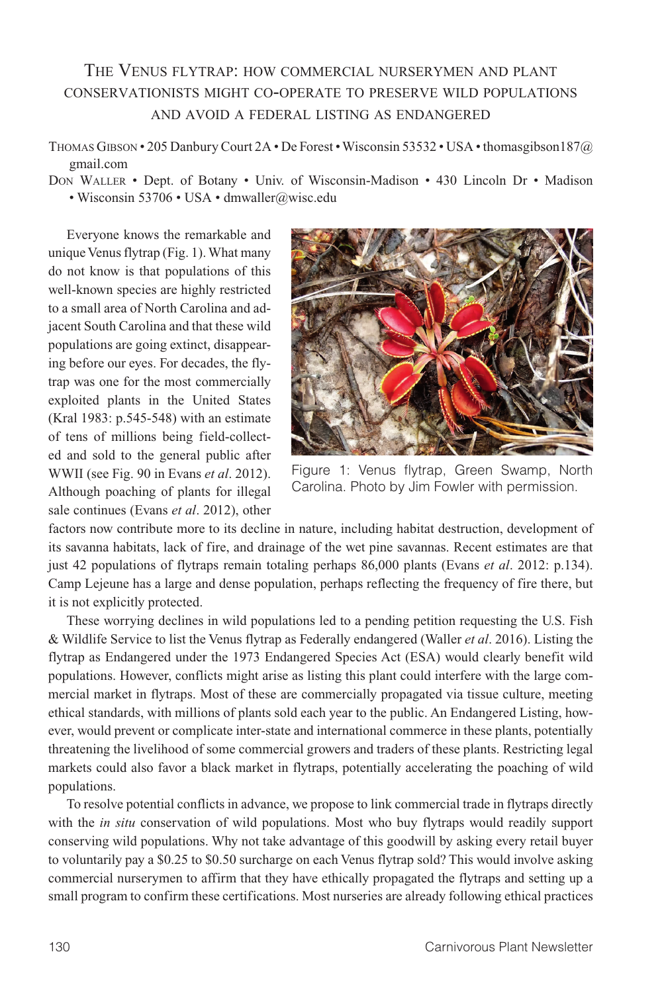## The Venus flytrap: how commercial nurserymen and plant conservationists might co-operate to preserve wild populations and avoid a federal listing as endangered

Thomas Gibson • 205 Danbury Court 2A • De Forest • Wisconsin 53532 • USA • thomasgibson187@ gmail.com

Don Waller • Dept. of Botany • Univ. of Wisconsin-Madison • 430 Lincoln Dr • Madison • Wisconsin 53706 • USA • dmwaller@wisc.edu

Everyone knows the remarkable and unique Venus flytrap (Fig. 1). What many do not know is that populations of this well-known species are highly restricted to a small area of North Carolina and adjacent South Carolina and that these wild populations are going extinct, disappearing before our eyes. For decades, the flytrap was one for the most commercially exploited plants in the United States (Kral 1983: p.545-548) with an estimate of tens of millions being field-collected and sold to the general public after WWII (see Fig. 90 in Evans *et al*. 2012). Although poaching of plants for illegal sale continues (Evans *et al*. 2012), other



Figure 1: Venus flytrap, Green Swamp, North Carolina. Photo by Jim Fowler with permission.

factors now contribute more to its decline in nature, including habitat destruction, development of its savanna habitats, lack of fire, and drainage of the wet pine savannas. Recent estimates are that just 42 populations of flytraps remain totaling perhaps 86,000 plants (Evans *et al*. 2012: p.134). Camp Lejeune has a large and dense population, perhaps reflecting the frequency of fire there, but it is not explicitly protected.

These worrying declines in wild populations led to a pending petition requesting the U.S. Fish & Wildlife Service to list the Venus flytrap as Federally endangered (Waller *et al*. 2016). Listing the flytrap as Endangered under the 1973 Endangered Species Act (ESA) would clearly benefit wild populations. However, conflicts might arise as listing this plant could interfere with the large commercial market in flytraps. Most of these are commercially propagated via tissue culture, meeting ethical standards, with millions of plants sold each year to the public. An Endangered Listing, however, would prevent or complicate inter-state and international commerce in these plants, potentially threatening the livelihood of some commercial growers and traders of these plants. Restricting legal markets could also favor a black market in flytraps, potentially accelerating the poaching of wild populations.

To resolve potential conflicts in advance, we propose to link commercial trade in flytraps directly with the *in situ* conservation of wild populations. Most who buy flytraps would readily support conserving wild populations. Why not take advantage of this goodwill by asking every retail buyer to voluntarily pay a \$0.25 to \$0.50 surcharge on each Venus flytrap sold? This would involve asking commercial nurserymen to affirm that they have ethically propagated the flytraps and setting up a small program to confirm these certifications. Most nurseries are already following ethical practices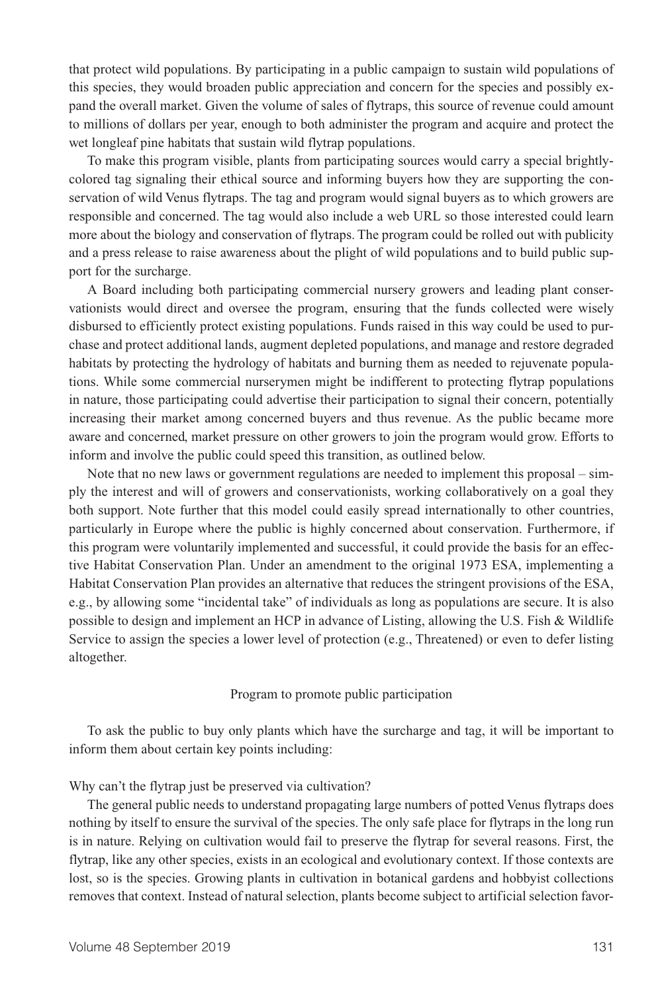that protect wild populations. By participating in a public campaign to sustain wild populations of this species, they would broaden public appreciation and concern for the species and possibly expand the overall market. Given the volume of sales of flytraps, this source of revenue could amount to millions of dollars per year, enough to both administer the program and acquire and protect the wet longleaf pine habitats that sustain wild flytrap populations.

To make this program visible, plants from participating sources would carry a special brightlycolored tag signaling their ethical source and informing buyers how they are supporting the conservation of wild Venus flytraps. The tag and program would signal buyers as to which growers are responsible and concerned. The tag would also include a web URL so those interested could learn more about the biology and conservation of flytraps. The program could be rolled out with publicity and a press release to raise awareness about the plight of wild populations and to build public support for the surcharge.

A Board including both participating commercial nursery growers and leading plant conservationists would direct and oversee the program, ensuring that the funds collected were wisely disbursed to efficiently protect existing populations. Funds raised in this way could be used to purchase and protect additional lands, augment depleted populations, and manage and restore degraded habitats by protecting the hydrology of habitats and burning them as needed to rejuvenate populations. While some commercial nurserymen might be indifferent to protecting flytrap populations in nature, those participating could advertise their participation to signal their concern, potentially increasing their market among concerned buyers and thus revenue. As the public became more aware and concerned, market pressure on other growers to join the program would grow. Efforts to inform and involve the public could speed this transition, as outlined below.

Note that no new laws or government regulations are needed to implement this proposal – simply the interest and will of growers and conservationists, working collaboratively on a goal they both support. Note further that this model could easily spread internationally to other countries, particularly in Europe where the public is highly concerned about conservation. Furthermore, if this program were voluntarily implemented and successful, it could provide the basis for an effective Habitat Conservation Plan. Under an amendment to the original 1973 ESA, implementing a Habitat Conservation Plan provides an alternative that reduces the stringent provisions of the ESA, e.g., by allowing some "incidental take" of individuals as long as populations are secure. It is also possible to design and implement an HCP in advance of Listing, allowing the U.S. Fish & Wildlife Service to assign the species a lower level of protection (e.g., Threatened) or even to defer listing altogether.

Program to promote public participation

To ask the public to buy only plants which have the surcharge and tag, it will be important to inform them about certain key points including:

Why can't the flytrap just be preserved via cultivation?

The general public needs to understand propagating large numbers of potted Venus flytraps does nothing by itself to ensure the survival of the species. The only safe place for flytraps in the long run is in nature. Relying on cultivation would fail to preserve the flytrap for several reasons. First, the flytrap, like any other species, exists in an ecological and evolutionary context. If those contexts are lost, so is the species. Growing plants in cultivation in botanical gardens and hobbyist collections removes that context. Instead of natural selection, plants become subject to artificial selection favor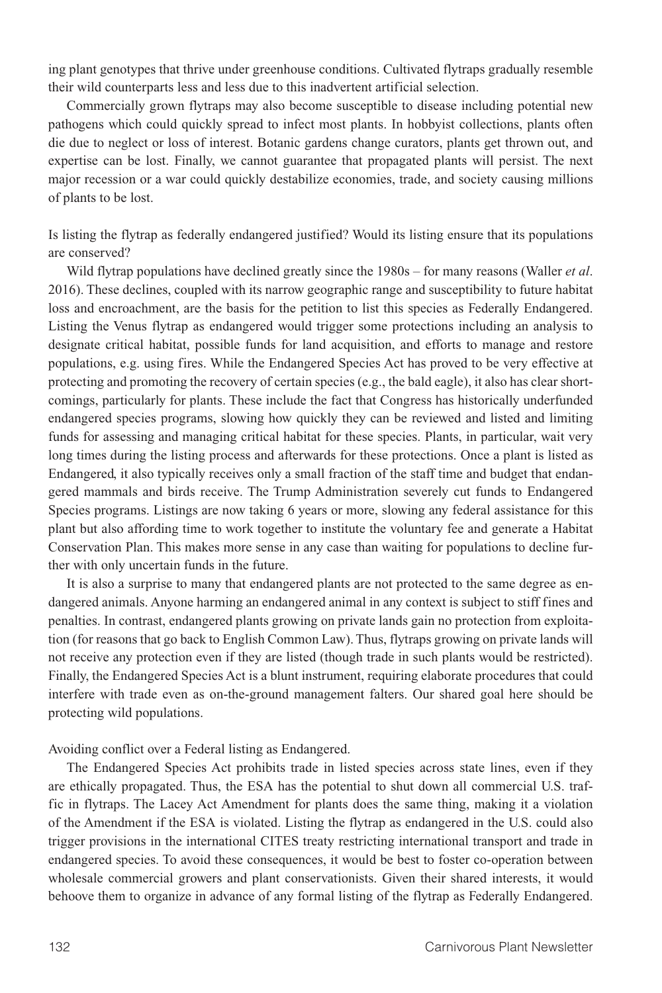ing plant genotypes that thrive under greenhouse conditions. Cultivated flytraps gradually resemble their wild counterparts less and less due to this inadvertent artificial selection.

Commercially grown flytraps may also become susceptible to disease including potential new pathogens which could quickly spread to infect most plants. In hobbyist collections, plants often die due to neglect or loss of interest. Botanic gardens change curators, plants get thrown out, and expertise can be lost. Finally, we cannot guarantee that propagated plants will persist. The next major recession or a war could quickly destabilize economies, trade, and society causing millions of plants to be lost.

Is listing the flytrap as federally endangered justified? Would its listing ensure that its populations are conserved?

Wild flytrap populations have declined greatly since the 1980s – for many reasons (Waller *et al*. 2016). These declines, coupled with its narrow geographic range and susceptibility to future habitat loss and encroachment, are the basis for the petition to list this species as Federally Endangered. Listing the Venus flytrap as endangered would trigger some protections including an analysis to designate critical habitat, possible funds for land acquisition, and efforts to manage and restore populations, e.g. using fires. While the Endangered Species Act has proved to be very effective at protecting and promoting the recovery of certain species (e.g., the bald eagle), it also has clear shortcomings, particularly for plants. These include the fact that Congress has historically underfunded endangered species programs, slowing how quickly they can be reviewed and listed and limiting funds for assessing and managing critical habitat for these species. Plants, in particular, wait very long times during the listing process and afterwards for these protections. Once a plant is listed as Endangered, it also typically receives only a small fraction of the staff time and budget that endangered mammals and birds receive. The Trump Administration severely cut funds to Endangered Species programs. Listings are now taking 6 years or more, slowing any federal assistance for this plant but also affording time to work together to institute the voluntary fee and generate a Habitat Conservation Plan. This makes more sense in any case than waiting for populations to decline further with only uncertain funds in the future.

It is also a surprise to many that endangered plants are not protected to the same degree as endangered animals. Anyone harming an endangered animal in any context is subject to stiff fines and penalties. In contrast, endangered plants growing on private lands gain no protection from exploitation (for reasons that go back to English Common Law). Thus, flytraps growing on private lands will not receive any protection even if they are listed (though trade in such plants would be restricted). Finally, the Endangered Species Act is a blunt instrument, requiring elaborate procedures that could interfere with trade even as on-the-ground management falters. Our shared goal here should be protecting wild populations.

Avoiding conflict over a Federal listing as Endangered.

The Endangered Species Act prohibits trade in listed species across state lines, even if they are ethically propagated. Thus, the ESA has the potential to shut down all commercial U.S. traffic in flytraps. The Lacey Act Amendment for plants does the same thing, making it a violation of the Amendment if the ESA is violated. Listing the flytrap as endangered in the U.S. could also trigger provisions in the international CITES treaty restricting international transport and trade in endangered species. To avoid these consequences, it would be best to foster co-operation between wholesale commercial growers and plant conservationists. Given their shared interests, it would behoove them to organize in advance of any formal listing of the flytrap as Federally Endangered.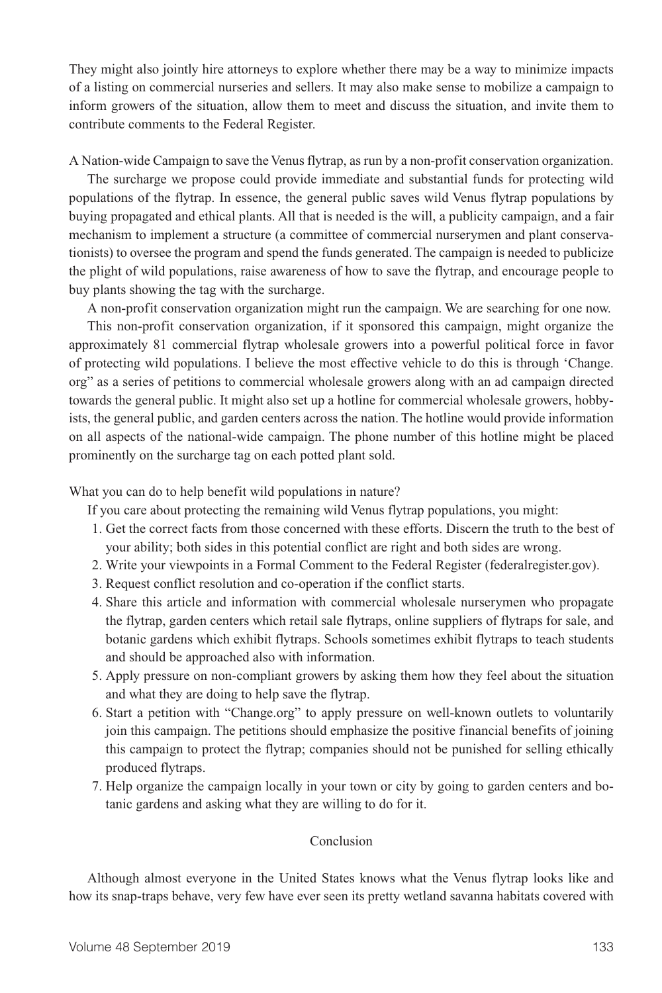They might also jointly hire attorneys to explore whether there may be a way to minimize impacts of a listing on commercial nurseries and sellers. It may also make sense to mobilize a campaign to inform growers of the situation, allow them to meet and discuss the situation, and invite them to contribute comments to the Federal Register.

A Nation-wide Campaign to save the Venus flytrap, as run by a non-profit conservation organization.

The surcharge we propose could provide immediate and substantial funds for protecting wild populations of the flytrap. In essence, the general public saves wild Venus flytrap populations by buying propagated and ethical plants. All that is needed is the will, a publicity campaign, and a fair mechanism to implement a structure (a committee of commercial nurserymen and plant conservationists) to oversee the program and spend the funds generated. The campaign is needed to publicize the plight of wild populations, raise awareness of how to save the flytrap, and encourage people to buy plants showing the tag with the surcharge.

A non-profit conservation organization might run the campaign. We are searching for one now. This non-profit conservation organization, if it sponsored this campaign, might organize the approximately 81 commercial flytrap wholesale growers into a powerful political force in favor of protecting wild populations. I believe the most effective vehicle to do this is through 'Change. org" as a series of petitions to commercial wholesale growers along with an ad campaign directed towards the general public. It might also set up a hotline for commercial wholesale growers, hobbyists, the general public, and garden centers across the nation. The hotline would provide information on all aspects of the national-wide campaign. The phone number of this hotline might be placed prominently on the surcharge tag on each potted plant sold.

What you can do to help benefit wild populations in nature?

If you care about protecting the remaining wild Venus flytrap populations, you might:

- 1. Get the correct facts from those concerned with these efforts. Discern the truth to the best of your ability; both sides in this potential conflict are right and both sides are wrong.
- 2. Write your viewpoints in a Formal Comment to the Federal Register (federalregister.gov).
- 3. Request conflict resolution and co-operation if the conflict starts.
- 4. Share this article and information with commercial wholesale nurserymen who propagate the flytrap, garden centers which retail sale flytraps, online suppliers of flytraps for sale, and botanic gardens which exhibit flytraps. Schools sometimes exhibit flytraps to teach students and should be approached also with information.
- 5. Apply pressure on non-compliant growers by asking them how they feel about the situation and what they are doing to help save the flytrap.
- 6. Start a petition with "Change.org" to apply pressure on well-known outlets to voluntarily join this campaign. The petitions should emphasize the positive financial benefits of joining this campaign to protect the flytrap; companies should not be punished for selling ethically produced flytraps.
- 7. Help organize the campaign locally in your town or city by going to garden centers and botanic gardens and asking what they are willing to do for it.

## Conclusion

Although almost everyone in the United States knows what the Venus flytrap looks like and how its snap-traps behave, very few have ever seen its pretty wetland savanna habitats covered with